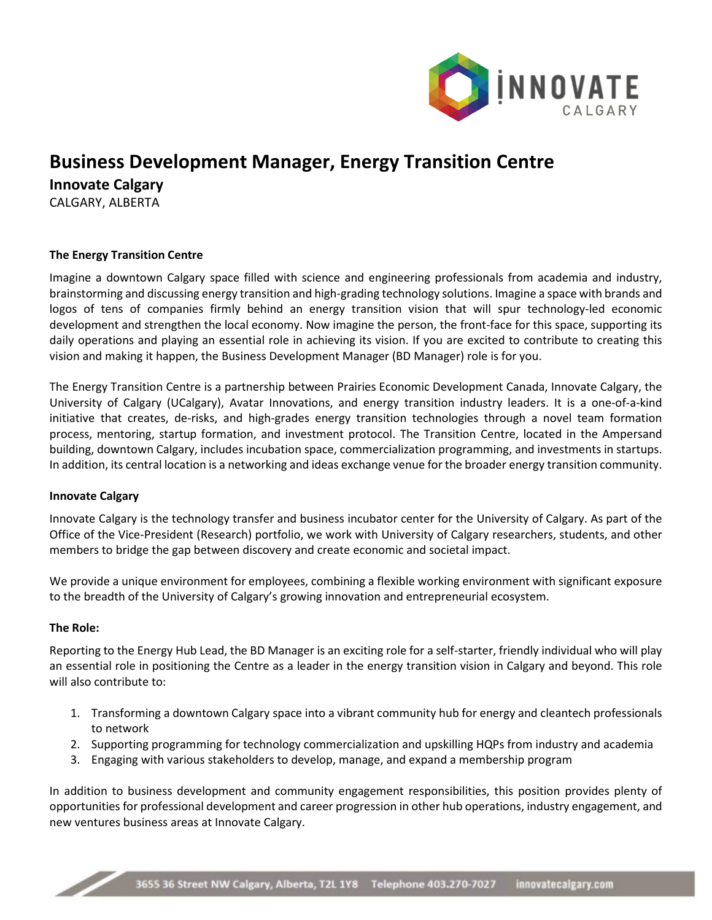

# **Business Development Manager, Energy Transition Centre**

**Innovate Calgary** CALGARY, ALBERTA

# **The Energy Transition Centre**

Imagine a downtown Calgary space filled with science and engineering professionals from academia and industry, brainstorming and discussing energy transition and high-grading technology solutions. Imagine a space with brands and logos of tens of companies firmly behind an energy transition vision that will spur technology-led economic development and strengthen the local economy. Now imagine the person, the front-face for this space, supporting its daily operations and playing an essential role in achieving its vision. If you are excited to contribute to creating this vision and making it happen, the Business Development Manager (BD Manager) role is for you.

The Energy Transition Centre is a partnership between Prairies Economic Development Canada, Innovate Calgary, the University of Calgary (UCalgary), Avatar Innovations, and energy transition industry leaders. It is a one-of-a-kind initiative that creates, de-risks, and high-grades energy transition technologies through a novel team formation process, mentoring, startup formation, and investment protocol. The Transition Centre, located in the Ampersand building, downtown Calgary, includes incubation space, commercialization programming, and investments in startups. In addition, its central location is a networking and ideas exchange venue for the broader energy transition community.

#### **Innovate Calgary**

Innovate Calgary is the technology transfer and business incubator center for the University of Calgary. As part of the Office of the Vice-President (Research) portfolio, we work with University of Calgary researchers, students, and other members to bridge the gap between discovery and create economic and societal impact.

We provide a unique environment for employees, combining a flexible working environment with significant exposure to the breadth of the University of Calgary's growing innovation and entrepreneurial ecosystem.

#### **The Role:**

2

Reporting to the Energy Hub Lead, the BD Manager is an exciting role for a self-starter, friendly individual who will play an essential role in positioning the Centre as a leader in the energy transition vision in Calgary and beyond. This role will also contribute to:

- 1. Transforming a downtown Calgary space into a vibrant community hub for energy and cleantech professionals to network
- 2. Supporting programming for technology commercialization and upskilling HQPs from industry and academia
- 3. Engaging with various stakeholders to develop, manage, and expand a membership program

In addition to business development and community engagement responsibilities, this position provides plenty of opportunities for professional development and career progression in other hub operations, industry engagement, and new ventures business areas at Innovate Calgary.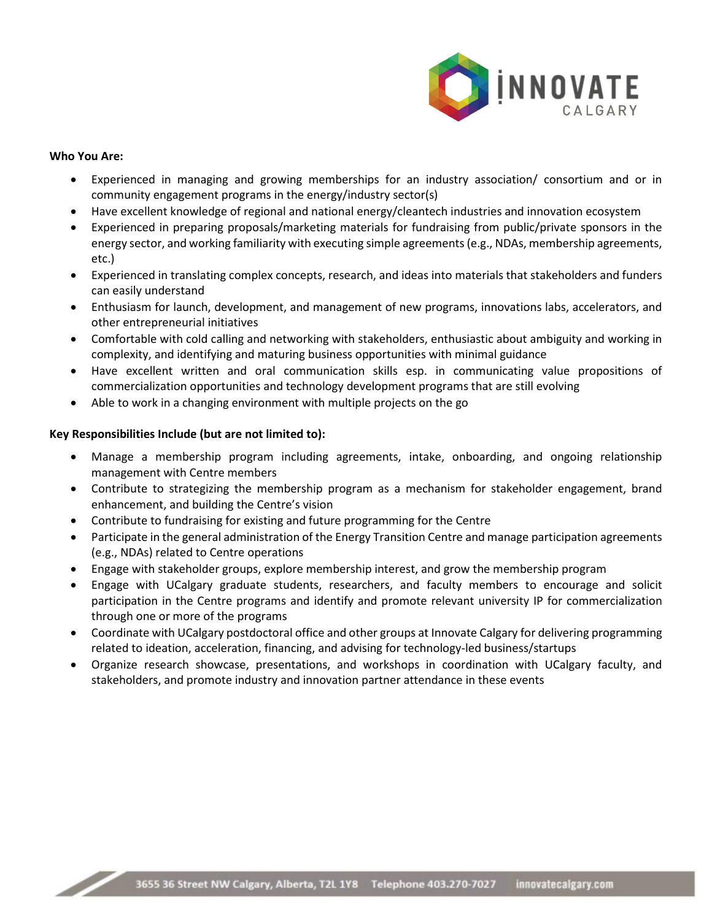

## **Who You Are:**

4

- Experienced in managing and growing memberships for an industry association/ consortium and or in community engagement programs in the energy/industry sector(s)
- Have excellent knowledge of regional and national energy/cleantech industries and innovation ecosystem
- Experienced in preparing proposals/marketing materials for fundraising from public/private sponsors in the energy sector, and working familiarity with executing simple agreements (e.g., NDAs, membership agreements, etc.)
- Experienced in translating complex concepts, research, and ideas into materials that stakeholders and funders can easily understand
- Enthusiasm for launch, development, and management of new programs, innovations labs, accelerators, and other entrepreneurial initiatives
- Comfortable with cold calling and networking with stakeholders, enthusiastic about ambiguity and working in complexity, and identifying and maturing business opportunities with minimal guidance
- Have excellent written and oral communication skills esp. in communicating value propositions of commercialization opportunities and technology development programs that are still evolving
- Able to work in a changing environment with multiple projects on the go

# **Key Responsibilities Include (but are not limited to):**

- Manage a membership program including agreements, intake, onboarding, and ongoing relationship management with Centre members
- Contribute to strategizing the membership program as a mechanism for stakeholder engagement, brand enhancement, and building the Centre's vision
- Contribute to fundraising for existing and future programming for the Centre
- Participate in the general administration of the Energy Transition Centre and manage participation agreements (e.g., NDAs) related to Centre operations
- Engage with stakeholder groups, explore membership interest, and grow the membership program
- Engage with UCalgary graduate students, researchers, and faculty members to encourage and solicit participation in the Centre programs and identify and promote relevant university IP for commercialization through one or more of the programs
- Coordinate with UCalgary postdoctoral office and other groups at Innovate Calgary for delivering programming related to ideation, acceleration, financing, and advising for technology-led business/startups
- Organize research showcase, presentations, and workshops in coordination with UCalgary faculty, and stakeholders, and promote industry and innovation partner attendance in these events